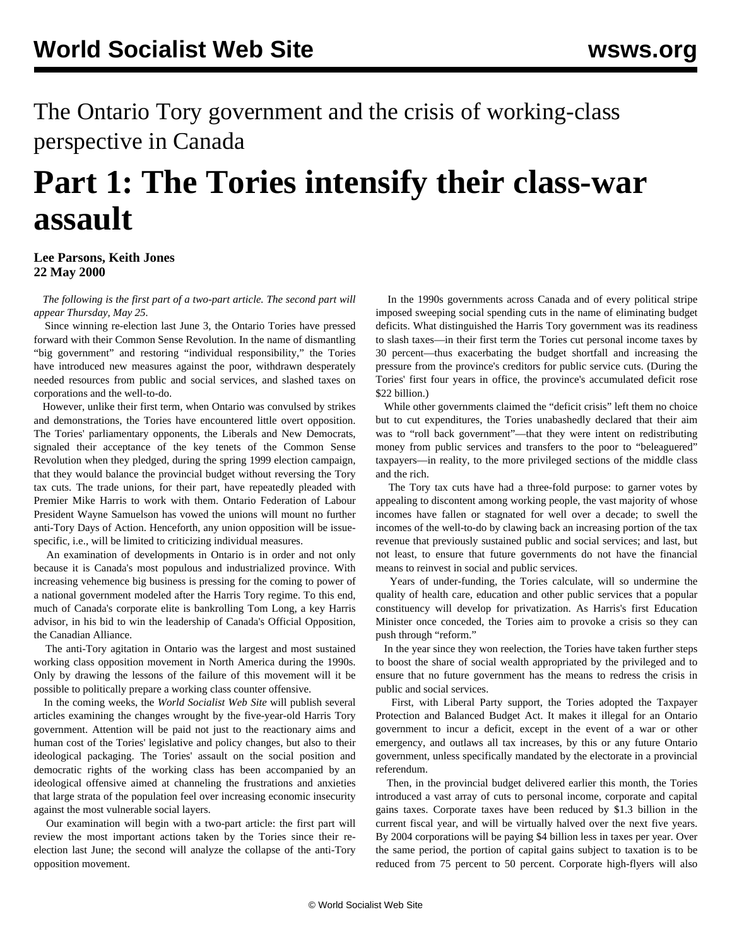The Ontario Tory government and the crisis of working-class perspective in Canada

## **Part 1: The Tories intensify their class-war assault**

**Lee Parsons, Keith Jones 22 May 2000**

 *The following is the first part of a two-part article. The second part will appear Thursday, May 25.*

 Since winning re-election last June 3, the Ontario Tories have pressed forward with their Common Sense Revolution. In the name of dismantling "big government" and restoring "individual responsibility," the Tories have introduced new measures against the poor, withdrawn desperately needed resources from public and social services, and slashed taxes on corporations and the well-to-do.

 However, unlike their first term, when Ontario was convulsed by strikes and demonstrations, the Tories have encountered little overt opposition. The Tories' parliamentary opponents, the Liberals and New Democrats, signaled their acceptance of the key tenets of the Common Sense Revolution when they pledged, during the spring 1999 election campaign, that they would balance the provincial budget without reversing the Tory tax cuts. The trade unions, for their part, have repeatedly pleaded with Premier Mike Harris to work with them. Ontario Federation of Labour President Wayne Samuelson has vowed the unions will mount no further anti-Tory Days of Action. Henceforth, any union opposition will be issuespecific, i.e., will be limited to criticizing individual measures.

 An examination of developments in Ontario is in order and not only because it is Canada's most populous and industrialized province. With increasing vehemence big business is pressing for the coming to power of a national government modeled after the Harris Tory regime. To this end, much of Canada's corporate elite is bankrolling Tom Long, a key Harris advisor, in his bid to win the leadership of Canada's Official Opposition, the Canadian Alliance.

 The anti-Tory agitation in Ontario was the largest and most sustained working class opposition movement in North America during the 1990s. Only by drawing the lessons of the failure of this movement will it be possible to politically prepare a working class counter offensive.

 In the coming weeks, the *World Socialist Web Site* will publish several articles examining the changes wrought by the five-year-old Harris Tory government. Attention will be paid not just to the reactionary aims and human cost of the Tories' legislative and policy changes, but also to their ideological packaging. The Tories' assault on the social position and democratic rights of the working class has been accompanied by an ideological offensive aimed at channeling the frustrations and anxieties that large strata of the population feel over increasing economic insecurity against the most vulnerable social layers.

 Our examination will begin with a two-part article: the first part will review the most important actions taken by the Tories since their reelection last June; the second will analyze the collapse of the anti-Tory opposition movement.

 In the 1990s governments across Canada and of every political stripe imposed sweeping social spending cuts in the name of eliminating budget deficits. What distinguished the Harris Tory government was its readiness to slash taxes—in their first term the Tories cut personal income taxes by 30 percent—thus exacerbating the budget shortfall and increasing the pressure from the province's creditors for public service cuts. (During the Tories' first four years in office, the province's accumulated deficit rose \$22 billion.)

 While other governments claimed the "deficit crisis" left them no choice but to cut expenditures, the Tories unabashedly declared that their aim was to "roll back government"—that they were intent on redistributing money from public services and transfers to the poor to "beleaguered" taxpayers—in reality, to the more privileged sections of the middle class and the rich.

 The Tory tax cuts have had a three-fold purpose: to garner votes by appealing to discontent among working people, the vast majority of whose incomes have fallen or stagnated for well over a decade; to swell the incomes of the well-to-do by clawing back an increasing portion of the tax revenue that previously sustained public and social services; and last, but not least, to ensure that future governments do not have the financial means to reinvest in social and public services.

 Years of under-funding, the Tories calculate, will so undermine the quality of health care, education and other public services that a popular constituency will develop for privatization. As Harris's first Education Minister once conceded, the Tories aim to provoke a crisis so they can push through "reform."

 In the year since they won reelection, the Tories have taken further steps to boost the share of social wealth appropriated by the privileged and to ensure that no future government has the means to redress the crisis in public and social services.

 First, with Liberal Party support, the Tories adopted the Taxpayer Protection and Balanced Budget Act. It makes it illegal for an Ontario government to incur a deficit, except in the event of a war or other emergency, and outlaws all tax increases, by this or any future Ontario government, unless specifically mandated by the electorate in a provincial referendum.

 Then, in the provincial budget delivered earlier this month, the Tories introduced a vast array of cuts to personal income, corporate and capital gains taxes. Corporate taxes have been reduced by \$1.3 billion in the current fiscal year, and will be virtually halved over the next five years. By 2004 corporations will be paying \$4 billion less in taxes per year. Over the same period, the portion of capital gains subject to taxation is to be reduced from 75 percent to 50 percent. Corporate high-flyers will also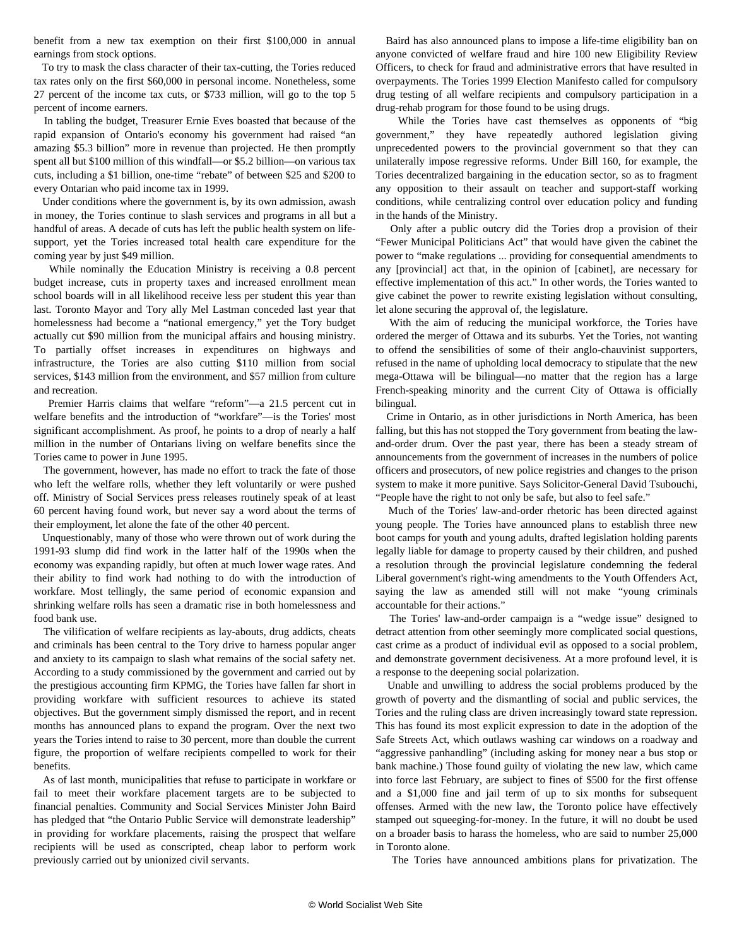benefit from a new tax exemption on their first \$100,000 in annual earnings from stock options.

 To try to mask the class character of their tax-cutting, the Tories reduced tax rates only on the first \$60,000 in personal income. Nonetheless, some 27 percent of the income tax cuts, or \$733 million, will go to the top 5 percent of income earners.

 In tabling the budget, Treasurer Ernie Eves boasted that because of the rapid expansion of Ontario's economy his government had raised "an amazing \$5.3 billion" more in revenue than projected. He then promptly spent all but \$100 million of this windfall—or \$5.2 billion—on various tax cuts, including a \$1 billion, one-time "rebate" of between \$25 and \$200 to every Ontarian who paid income tax in 1999.

 Under conditions where the government is, by its own admission, awash in money, the Tories continue to slash services and programs in all but a handful of areas. A decade of cuts has left the public health system on lifesupport, yet the Tories increased total health care expenditure for the coming year by just \$49 million.

 While nominally the Education Ministry is receiving a 0.8 percent budget increase, cuts in property taxes and increased enrollment mean school boards will in all likelihood receive less per student this year than last. Toronto Mayor and Tory ally Mel Lastman conceded last year that homelessness had become a "national emergency," yet the Tory budget actually cut \$90 million from the municipal affairs and housing ministry. To partially offset increases in expenditures on highways and infrastructure, the Tories are also cutting \$110 million from social services, \$143 million from the environment, and \$57 million from culture and recreation.

 Premier Harris claims that welfare "reform"—a 21.5 percent cut in welfare benefits and the introduction of "workfare"—is the Tories' most significant accomplishment. As proof, he points to a drop of nearly a half million in the number of Ontarians living on welfare benefits since the Tories came to power in June 1995.

 The government, however, has made no effort to track the fate of those who left the welfare rolls, whether they left voluntarily or were pushed off. Ministry of Social Services press releases routinely speak of at least 60 percent having found work, but never say a word about the terms of their employment, let alone the fate of the other 40 percent.

 Unquestionably, many of those who were thrown out of work during the 1991-93 slump did find work in the latter half of the 1990s when the economy was expanding rapidly, but often at much lower wage rates. And their ability to find work had nothing to do with the introduction of workfare. Most tellingly, the same period of economic expansion and shrinking welfare rolls has seen a dramatic rise in both homelessness and food bank use.

 The vilification of welfare recipients as lay-abouts, drug addicts, cheats and criminals has been central to the Tory drive to harness popular anger and anxiety to its campaign to slash what remains of the social safety net. According to a study commissioned by the government and carried out by the prestigious accounting firm KPMG, the Tories have fallen far short in providing workfare with sufficient resources to achieve its stated objectives. But the government simply dismissed the report, and in recent months has announced plans to expand the program. Over the next two years the Tories intend to raise to 30 percent, more than double the current figure, the proportion of welfare recipients compelled to work for their benefits.

 As of last month, municipalities that refuse to participate in workfare or fail to meet their workfare placement targets are to be subjected to financial penalties. Community and Social Services Minister John Baird has pledged that "the Ontario Public Service will demonstrate leadership" in providing for workfare placements, raising the prospect that welfare recipients will be used as conscripted, cheap labor to perform work previously carried out by unionized civil servants.

 Baird has also announced plans to impose a life-time eligibility ban on anyone convicted of welfare fraud and hire 100 new Eligibility Review Officers, to check for fraud and administrative errors that have resulted in overpayments. The Tories 1999 Election Manifesto called for compulsory drug testing of all welfare recipients and compulsory participation in a drug-rehab program for those found to be using drugs.

 While the Tories have cast themselves as opponents of "big government," they have repeatedly authored legislation giving unprecedented powers to the provincial government so that they can unilaterally impose regressive reforms. Under Bill 160, for example, the Tories decentralized bargaining in the education sector, so as to fragment any opposition to their assault on teacher and support-staff working conditions, while centralizing control over education policy and funding in the hands of the Ministry.

 Only after a public outcry did the Tories drop a provision of their "Fewer Municipal Politicians Act" that would have given the cabinet the power to "make regulations ... providing for consequential amendments to any [provincial] act that, in the opinion of [cabinet], are necessary for effective implementation of this act." In other words, the Tories wanted to give cabinet the power to rewrite existing legislation without consulting, let alone securing the approval of, the legislature.

 With the aim of reducing the municipal workforce, the Tories have ordered the merger of Ottawa and its suburbs. Yet the Tories, not wanting to offend the sensibilities of some of their anglo-chauvinist supporters, refused in the name of upholding local democracy to stipulate that the new mega-Ottawa will be bilingual—no matter that the region has a large French-speaking minority and the current City of Ottawa is officially bilingual.

 Crime in Ontario, as in other jurisdictions in North America, has been falling, but this has not stopped the Tory government from beating the lawand-order drum. Over the past year, there has been a steady stream of announcements from the government of increases in the numbers of police officers and prosecutors, of new police registries and changes to the prison system to make it more punitive. Says Solicitor-General David Tsubouchi, "People have the right to not only be safe, but also to feel safe."

 Much of the Tories' law-and-order rhetoric has been directed against young people. The Tories have announced plans to establish three new boot camps for youth and young adults, drafted legislation holding parents legally liable for damage to property caused by their children, and pushed a resolution through the provincial legislature condemning the federal Liberal government's right-wing amendments to the Youth Offenders Act, saying the law as amended still will not make "young criminals accountable for their actions."

 The Tories' law-and-order campaign is a "wedge issue" designed to detract attention from other seemingly more complicated social questions, cast crime as a product of individual evil as opposed to a social problem, and demonstrate government decisiveness. At a more profound level, it is a response to the deepening social polarization.

 Unable and unwilling to address the social problems produced by the growth of poverty and the dismantling of social and public services, the Tories and the ruling class are driven increasingly toward state repression. This has found its most explicit expression to date in the adoption of the Safe Streets Act, which outlaws washing car windows on a roadway and "aggressive panhandling" (including asking for money near a bus stop or bank machine.) Those found guilty of violating the new law, which came into force last February, are subject to fines of \$500 for the first offense and a \$1,000 fine and jail term of up to six months for subsequent offenses. Armed with the new law, the Toronto police have effectively stamped out squeeging-for-money. In the future, it will no doubt be used on a broader basis to harass the homeless, who are said to number 25,000 in Toronto alone.

The Tories have announced ambitions plans for privatization. The